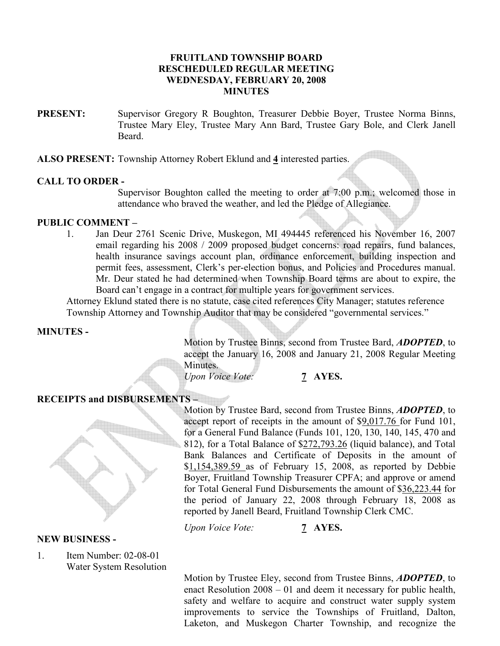### FRUITLAND TOWNSHIP BOARD RESCHEDULED REGULAR MEETING WEDNESDAY, FEBRUARY 20, 2008 MINUTES

PRESENT: Supervisor Gregory R Boughton, Treasurer Debbie Boyer, Trustee Norma Binns, Trustee Mary Eley, Trustee Mary Ann Bard, Trustee Gary Bole, and Clerk Janell **Beard** 

ALSO PRESENT: Township Attorney Robert Eklund and 4 interested parties.

### CALL TO ORDER -

Supervisor Boughton called the meeting to order at 7:00 p.m.; welcomed those in attendance who braved the weather, and led the Pledge of Allegiance.

## PUBLIC COMMENT –

1. Jan Deur 2761 Scenic Drive, Muskegon, MI 494445 referenced his November 16, 2007 email regarding his 2008 / 2009 proposed budget concerns: road repairs, fund balances, health insurance savings account plan, ordinance enforcement, building inspection and permit fees, assessment, Clerk's per-election bonus, and Policies and Procedures manual. Mr. Deur stated he had determined when Township Board terms are about to expire, the Board can't engage in a contract for multiple years for government services.

Attorney Eklund stated there is no statute, case cited references City Manager; statutes reference Township Attorney and Township Auditor that may be considered "governmental services."

### MINUTES -

Motion by Trustee Binns, second from Trustee Bard, **ADOPTED**, to accept the January 16, 2008 and January 21, 2008 Regular Meeting Minutes.

Upon Voice Vote: 7 AYES.

# RECEIPTS and DISBURSEMENTS –



#### NEW BUSINESS -

1. Item Number: 02-08-01 Water System Resolution

Motion by Trustee Bard, second from Trustee Binns, **ADOPTED**, to accept report of receipts in the amount of \$9,017.76 for Fund 101, for a General Fund Balance (Funds 101, 120, 130, 140, 145, 470 and 812), for a Total Balance of \$272,793.26 (liquid balance), and Total Bank Balances and Certificate of Deposits in the amount of \$1,154,389.59 as of February 15, 2008, as reported by Debbie Boyer, Fruitland Township Treasurer CPFA; and approve or amend for Total General Fund Disbursements the amount of \$36,223.44 for the period of January 22, 2008 through February 18, 2008 as reported by Janell Beard, Fruitland Township Clerk CMC.

Upon Voice Vote: 7 AYES.

Motion by Trustee Eley, second from Trustee Binns, **ADOPTED**, to enact Resolution 2008 – 01 and deem it necessary for public health, safety and welfare to acquire and construct water supply system improvements to service the Townships of Fruitland, Dalton, Laketon, and Muskegon Charter Township, and recognize the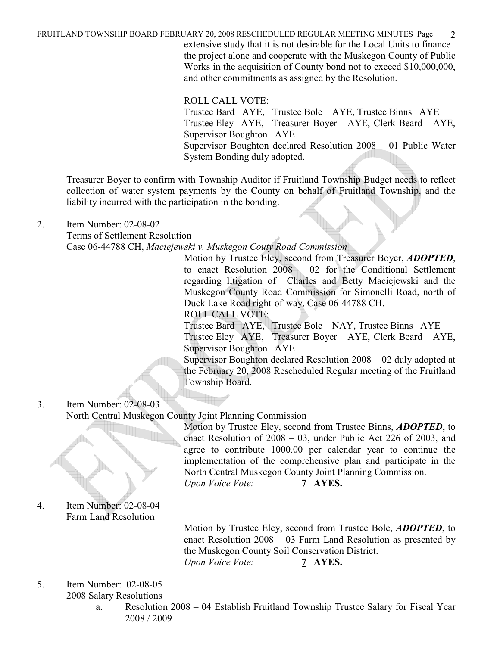FRUITLAND TOWNSHIP BOARD FEBRUARY 20, 2008 RESCHEDULED REGULAR MEETING MINUTES Page 2 extensive study that it is not desirable for the Local Units to finance the project alone and cooperate with the Muskegon County of Public Works in the acquisition of County bond not to exceed \$10,000,000, and other commitments as assigned by the Resolution.

ROLL CALL VOTE:

Trustee Bard AYE, Trustee Bole AYE, Trustee Binns AYE Trustee Eley AYE, Treasurer Boyer AYE, Clerk Beard AYE, Supervisor Boughton AYE Supervisor Boughton declared Resolution 2008 – 01 Public Water System Bonding duly adopted.

Treasurer Boyer to confirm with Township Auditor if Fruitland Township Budget needs to reflect collection of water system payments by the County on behalf of Fruitland Township, and the liability incurred with the participation in the bonding.

2. Item Number: 02-08-02

Terms of Settlement Resolution

Case 06-44788 CH, Maciejewski v. Muskegon Couty Road Commission

Motion by Trustee Eley, second from Treasurer Boyer, **ADOPTED**, to enact Resolution 2008 – 02 for the Conditional Settlement regarding litigation of Charles and Betty Maciejewski and the Muskegon County Road Commission for Simonelli Road, north of Duck Lake Road right-of-way, Case 06-44788 CH.

ROLL CALL VOTE:

Trustee Bard AYE, Trustee Bole NAY, Trustee Binns AYE Trustee Eley AYE, Treasurer Boyer AYE, Clerk Beard AYE, Supervisor Boughton AYE

Supervisor Boughton declared Resolution 2008 – 02 duly adopted at the February 20, 2008 Rescheduled Regular meeting of the Fruitland Township Board.

3. Item Number: 02-08-03 North Central Muskegon County Joint Planning Commission Motion by Trustee Eley, second from Trustee Binns, **ADOPTED**, to

enact Resolution of 2008 – 03, under Public Act 226 of 2003, and agree to contribute 1000.00 per calendar year to continue the implementation of the comprehensive plan and participate in the North Central Muskegon County Joint Planning Commission. Upon Voice Vote: 7 AYES.

4. Item Number: 02-08-04 Farm Land Resolution

> Motion by Trustee Eley, second from Trustee Bole, **ADOPTED**, to enact Resolution 2008 – 03 Farm Land Resolution as presented by the Muskegon County Soil Conservation District. Upon Voice Vote: 7 AYES.

- 5. Item Number: 02-08-05 2008 Salary Resolutions
	- a. Resolution 2008 04 Establish Fruitland Township Trustee Salary for Fiscal Year 2008 / 2009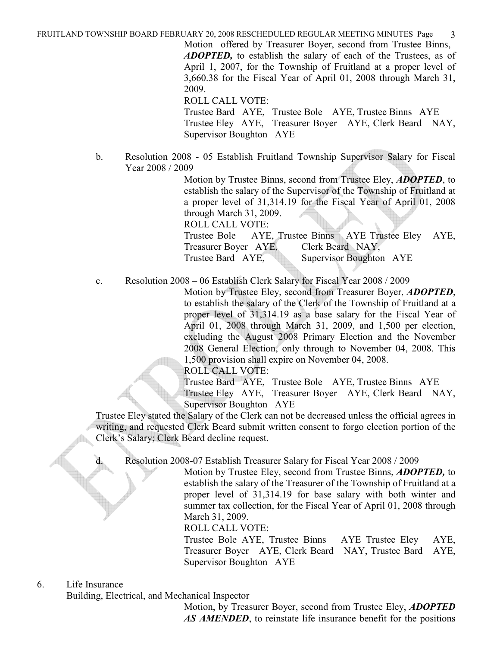FRUITLAND TOWNSHIP BOARD FEBRUARY 20, 2008 RESCHEDULED REGULAR MEETING MINUTES Page 3

Motion offered by Treasurer Boyer, second from Trustee Binns, ADOPTED, to establish the salary of each of the Trustees, as of April 1, 2007, for the Township of Fruitland at a proper level of 3,660.38 for the Fiscal Year of April 01, 2008 through March 31, 2009.

ROLL CALL VOTE: Trustee Bard AYE, Trustee Bole AYE, Trustee Binns AYE Trustee Eley AYE, Treasurer Boyer AYE, Clerk Beard NAY, Supervisor Boughton AYE

b. Resolution 2008 - 05 Establish Fruitland Township Supervisor Salary for Fiscal Year 2008 / 2009

> Motion by Trustee Binns, second from Trustee Eley, **ADOPTED**, to establish the salary of the Supervisor of the Township of Fruitland at a proper level of 31,314.19 for the Fiscal Year of April 01, 2008 through March 31, 2009. ROLL CALL VOTE:

> Trustee Bole AYE, Trustee Binns AYE Trustee Eley AYE, Treasurer Boyer AYE, Clerk Beard NAY, Trustee Bard AYE, Supervisor Boughton AYE

c. Resolution 2008 – 06 Establish Clerk Salary for Fiscal Year 2008 / 2009

Motion by Trustee Eley, second from Treasurer Boyer, ADOPTED, to establish the salary of the Clerk of the Township of Fruitland at a proper level of 31,314.19 as a base salary for the Fiscal Year of April 01, 2008 through March 31, 2009, and 1,500 per election, excluding the August 2008 Primary Election and the November 2008 General Election, only through to November 04, 2008. This 1,500 provision shall expire on November 04, 2008.

ROLL CALL VOTE:

Trustee Bard AYE, Trustee Bole AYE, Trustee Binns AYE Trustee Eley AYE, Treasurer Boyer AYE, Clerk Beard NAY, Supervisor Boughton AYE

Trustee Eley stated the Salary of the Clerk can not be decreased unless the official agrees in writing, and requested Clerk Beard submit written consent to forgo election portion of the Clerk's Salary; Clerk Beard decline request.

d. Resolution 2008-07 Establish Treasurer Salary for Fiscal Year 2008 / 2009

Motion by Trustee Eley, second from Trustee Binns, **ADOPTED**, to establish the salary of the Treasurer of the Township of Fruitland at a proper level of 31,314.19 for base salary with both winter and summer tax collection, for the Fiscal Year of April 01, 2008 through March 31, 2009.

ROLL CALL VOTE:

Trustee Bole AYE, Trustee Binns AYE Trustee Eley AYE, Treasurer Boyer AYE, Clerk Beard NAY, Trustee Bard AYE, Supervisor Boughton AYE

#### 6. Life Insurance

Building, Electrical, and Mechanical Inspector

Motion, by Treasurer Boyer, second from Trustee Eley, **ADOPTED** AS AMENDED, to reinstate life insurance benefit for the positions